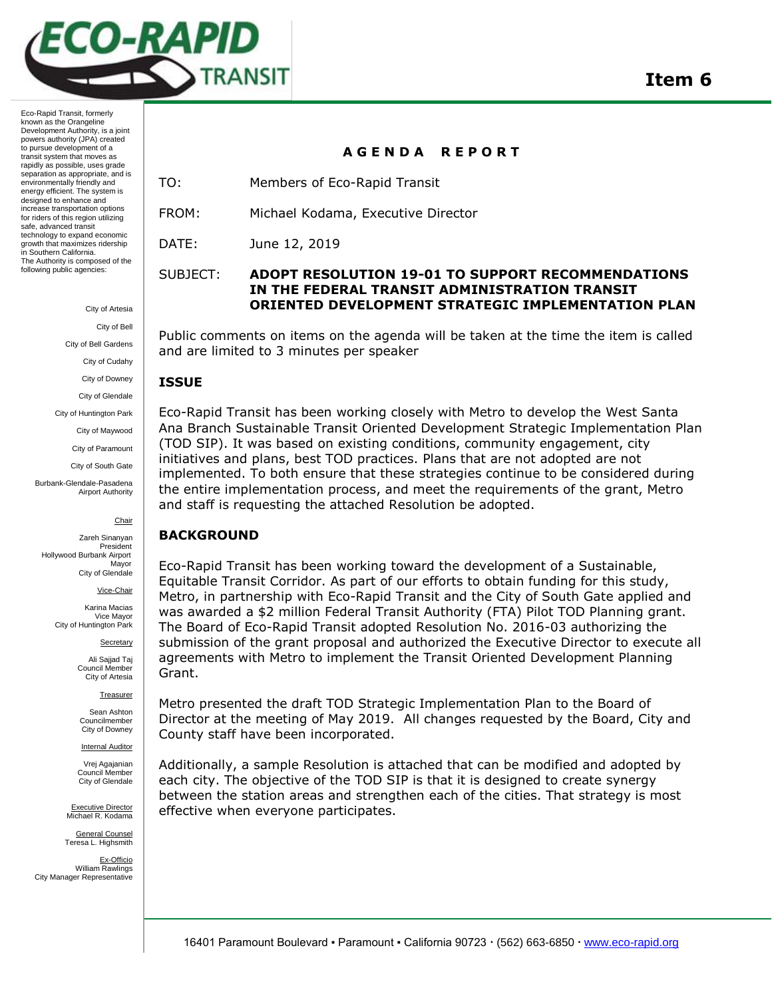

Eco-Rapid Transit, formerly known as the Orangeline Development Authority, is a joint powers authority (JPA) created to pursue development of a transit system that moves as rapidly as possible, uses grade separation as appropriate, and is environmentally friendly and energy efficient. The system is designed to enhance and increase transportation options for riders of this region utilizing safe, advanced transit technology to expand economic growth that maximizes ridership in Southern California. The Authority is composed of the following public agencies:

City of Artesia

City of Bell

City of Bell Gardens

City of Cudahy

City of Downey

City of Glendale

City of Huntington Park

City of Maywood

City of Paramount

City of South Gate

Burbank-Glendale-Pasadena Airport Authority

#### Chair

Zareh Sinanyan President Hollywood Burbank Airport Mayor City of Glendale

Vice-Chair

Karina Macias Vice Mayor City of Huntington Park

**Secretary** 

Ali Sajjad Taj Council Member City of Artesia

**Treasurer** 

Sean Ashton Councilmember City of Downey

**Internal Auditor** 

Vrej Agajanian Council Member City of Glendale

Executive Director Michael R. Kodama

General Counsel Teresa L. Highsmith

Ex-Officio William Rawlings City Manager Representative

## **A G E N D A R E P O R T**

TO: Members of Eco-Rapid Transit

FROM: Michael Kodama, Executive Director

DATE: June 12, 2019

## SUBJECT: **ADOPT RESOLUTION 19-01 TO SUPPORT RECOMMENDATIONS IN THE FEDERAL TRANSIT ADMINISTRATION TRANSIT ORIENTED DEVELOPMENT STRATEGIC IMPLEMENTATION PLAN**

Public comments on items on the agenda will be taken at the time the item is called and are limited to 3 minutes per speaker

### **ISSUE**

Eco-Rapid Transit has been working closely with Metro to develop the West Santa Ana Branch Sustainable Transit Oriented Development Strategic Implementation Plan (TOD SIP). It was based on existing conditions, community engagement, city initiatives and plans, best TOD practices. Plans that are not adopted are not implemented. To both ensure that these strategies continue to be considered during the entire implementation process, and meet the requirements of the grant, Metro and staff is requesting the attached Resolution be adopted.

## **BACKGROUND**

Eco-Rapid Transit has been working toward the development of a Sustainable, Equitable Transit Corridor. As part of our efforts to obtain funding for this study, Metro, in partnership with Eco-Rapid Transit and the City of South Gate applied and was awarded a \$2 million Federal Transit Authority (FTA) Pilot TOD Planning grant. The Board of Eco-Rapid Transit adopted Resolution No. 2016-03 authorizing the submission of the grant proposal and authorized the Executive Director to execute all agreements with Metro to implement the Transit Oriented Development Planning Grant.

Metro presented the draft TOD Strategic Implementation Plan to the Board of Director at the meeting of May 2019. All changes requested by the Board, City and County staff have been incorporated.

Additionally, a sample Resolution is attached that can be modified and adopted by each city. The objective of the TOD SIP is that it is designed to create synergy between the station areas and strengthen each of the cities. That strategy is most effective when everyone participates.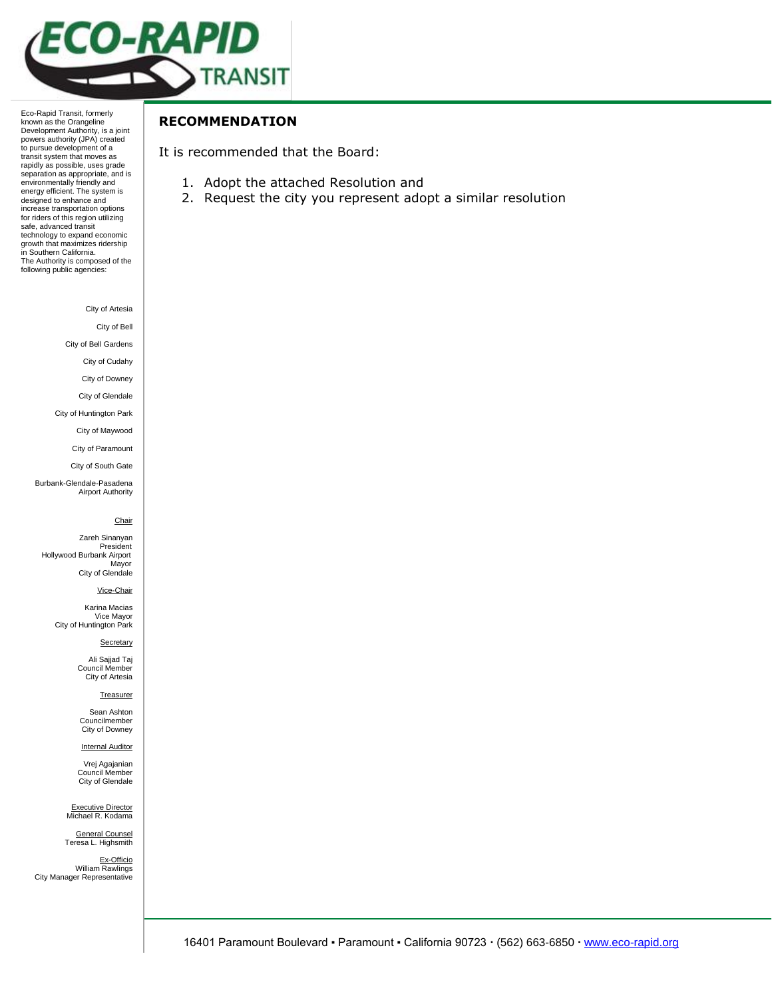

Eco-Rapid Transit, formerly known as the Orangeline Development Authority, is a joint powers authority (JPA) created to pursue development of a transit system that moves as rapidly as possible, uses grade separation as appropriate, and is environmentally friendly and energy efficient. The system is designed to enhance and increase transportation options for riders of this region utilizing safe, advanced transit technology to expand economic growth that maximizes ridership in Southern California. The Authority is composed of the following public agencies:

City of Artesia

City of Bell

City of Bell Gardens

City of Cudahy

City of Downey

City of Glendale

City of Huntington Park City of Maywood

City of Paramount

City of South Gate

Burbank-Glendale-Pasadena Airport Authority

#### Chair

Zareh Sinanyan President Hollywood Burbank Airport Mayor City of Glendale

Vice-Chair

Karina Macias Vice Mayor City of Huntington Park

**Secretary** 

Ali Sajjad Taj Council Member City of Artesia

#### **Treasurer**

Sean Ashton Councilmember City of Downey

**Internal Auditor** 

Vrej Agajanian Council Member City of Glendale

Executive Director<br>Michael R. Kodama

General Counsel Teresa L. Highsmith

<u>Ex-Officio</u><br>William Rawlings City Manager Representative

# **RECOMMENDATION**

It is recommended that the Board:

- 1. Adopt the attached Resolution and
- 2. Request the city you represent adopt a similar resolution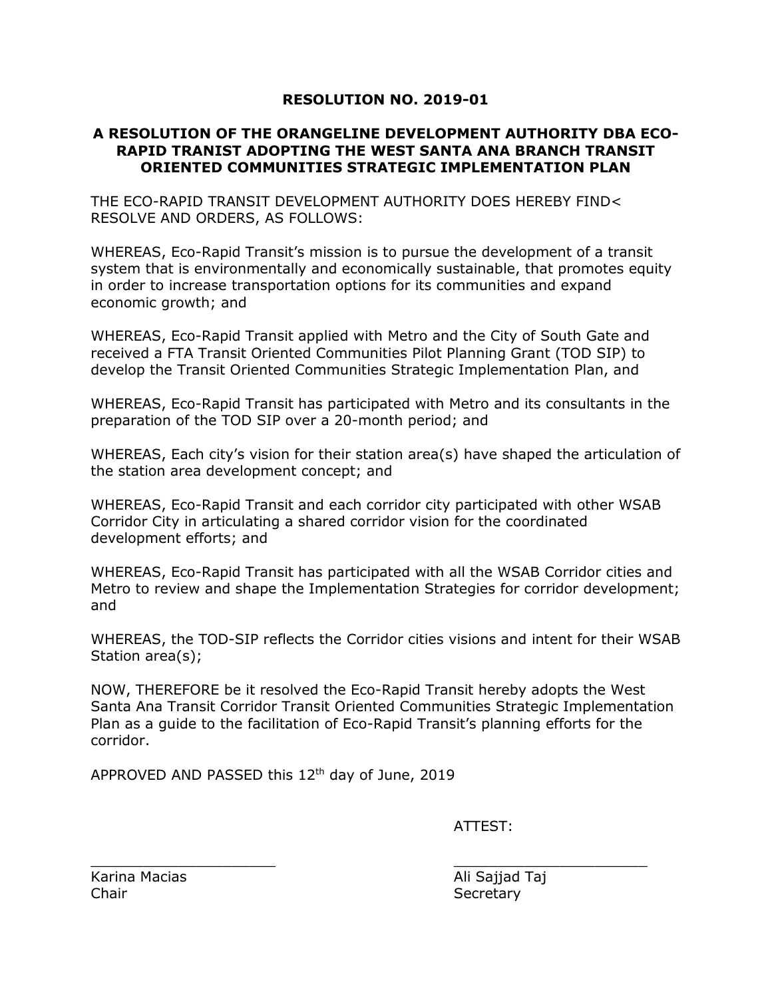# **RESOLUTION NO. 2019-01**

# **A RESOLUTION OF THE ORANGELINE DEVELOPMENT AUTHORITY DBA ECO-RAPID TRANIST ADOPTING THE WEST SANTA ANA BRANCH TRANSIT ORIENTED COMMUNITIES STRATEGIC IMPLEMENTATION PLAN**

THE ECO-RAPID TRANSIT DEVELOPMENT AUTHORITY DOES HEREBY FIND< RESOLVE AND ORDERS, AS FOLLOWS:

WHEREAS, Eco-Rapid Transit's mission is to pursue the development of a transit system that is environmentally and economically sustainable, that promotes equity in order to increase transportation options for its communities and expand economic growth; and

WHEREAS, Eco-Rapid Transit applied with Metro and the City of South Gate and received a FTA Transit Oriented Communities Pilot Planning Grant (TOD SIP) to develop the Transit Oriented Communities Strategic Implementation Plan, and

WHEREAS, Eco-Rapid Transit has participated with Metro and its consultants in the preparation of the TOD SIP over a 20-month period; and

WHEREAS, Each city's vision for their station area(s) have shaped the articulation of the station area development concept; and

WHEREAS, Eco-Rapid Transit and each corridor city participated with other WSAB Corridor City in articulating a shared corridor vision for the coordinated development efforts; and

WHEREAS, Eco-Rapid Transit has participated with all the WSAB Corridor cities and Metro to review and shape the Implementation Strategies for corridor development; and

WHEREAS, the TOD-SIP reflects the Corridor cities visions and intent for their WSAB Station area(s);

NOW, THEREFORE be it resolved the Eco-Rapid Transit hereby adopts the West Santa Ana Transit Corridor Transit Oriented Communities Strategic Implementation Plan as a guide to the facilitation of Eco-Rapid Transit's planning efforts for the corridor.

 $\mathcal{L}_\mathcal{L}$  , and the contribution of the contribution of  $\mathcal{L}_\mathcal{L}$  , and the contribution of  $\mathcal{L}_\mathcal{L}$ 

APPROVED AND PASSED this 12<sup>th</sup> day of June, 2019

ATTEST:

Karina Macias **Ali Sajjad Taj** Chair Secretary Secretary